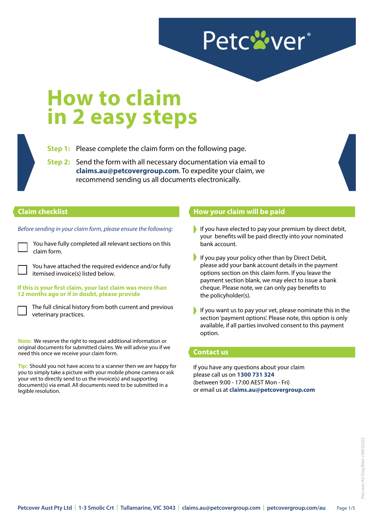# Petc<sup>2</sup>ver®

# **How to claim in 2 easy steps**

**Step 1:** Please complete the claim form on the following page.

**Step 2:** Send the form with all necessary documentation via email to **claims.au@petcovergroup.com**. To expedite your claim, we recommend sending us all documents electronically.

#### **Claim checklist**

*Before sending in your claim form, please ensure the following:* 

You have fully completed all relevant sections on this claim form.

You have attached the required evidence and/or fully itemised invoice(s) listed below.

**If this is your first claim, your last claim was more than 12 months ago or if in doubt, please provide**

The full clinical history from both current and previous veterinary practices.

**Note:** We reserve the right to request additional information or original documents for submitted claims. We will advise you if we need this once we receive your claim form.

**Tip:** Should you not have access to a scanner then we are happy for you to simply take a picture with your mobile phone camera or ask your vet to directly send to us the invoice(s) and supporting document(s) via email. All documents need to be submitted in a legible resolution.

### **How your claim will be paid**

- If you have elected to pay your premium by direct debit, your benefits will be paid directly into your nominated bank account.
- If you pay your policy other than by Direct Debit, please add your bank account details in the payment options section on this claim form. If you leave the payment section blank, we may elect to issue a bank cheque. Please note, we can only pay benefits to the policyholder(s).
- If you want us to pay your vet, please nominate this in the section 'payment options'. Please note, this option is only available, if all parties involved consent to this payment option.

#### **Contact us**

If you have any questions about your claim please call us on **1300 731 324**  (between 9:00 - 17:00 AEST Mon - Fri) or email us at **claims.au@petcovergroup.com**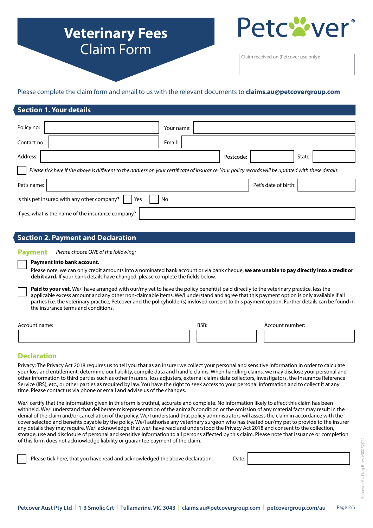# **Veterinary Fees** Claim Form



Claim received on (Petcover use only):

#### Please complete the claim form and email to us with the relevant documents to **claims.au@petcovergroup.com**

#### **Section 1. Your details**

| Policy no:                                                                                                                                          |  | Your name: |  |           |                      |        |  |
|-----------------------------------------------------------------------------------------------------------------------------------------------------|--|------------|--|-----------|----------------------|--------|--|
|                                                                                                                                                     |  |            |  |           |                      |        |  |
| Contact no:                                                                                                                                         |  | Email:     |  |           |                      |        |  |
| Address:                                                                                                                                            |  |            |  | Postcode: |                      | State: |  |
| Please tick here if the above is different to the address on your certificate of insurance. Your policy records will be updated with these details. |  |            |  |           |                      |        |  |
| Pet's name:                                                                                                                                         |  |            |  |           | Pet's date of birth: |        |  |
| Is this pet insured with any other company?<br>Yes<br>No                                                                                            |  |            |  |           |                      |        |  |
| If yes, what is the name of the insurance company?                                                                                                  |  |            |  |           |                      |        |  |

### **Section 2. Payment and Declaration**

**Payment** *Please choose ONE of the following:*

#### **Payment into bank account.**

Please note, we can only credit amounts into a nominated bank account or via bank cheque, **we are unable to pay directly into a credit or debit card.** If your bank details have changed, please complete the fields below.

Paid to your vet. We/I have arranged with our/my vet to have the policy benefit(s) paid directly to the veterinary practice, less the applicable excess amount and any other non-claimable items. We/I understand and agree that this payment option is only available if all parties (i.e. the veterinary practice, Petcover and the policyholder(s) invloved consent to this payment option. Further details can be found in the insurance terms and conditions.

| <b>Accoun</b><br>name: | <b>BSB</b><br>- - - - |  | \ccount number: |  |
|------------------------|-----------------------|--|-----------------|--|
|                        |                       |  |                 |  |

### **Declaration**

Privacy: The Privacy Act 2018 requires us to tell you that as an insurer we collect your personal and sensitive information in order to calculate your loss and entitlement, determine our liability, compile data and handle claims. When handling claims, we may disclose your personal and other information to third parties such as other insurers, loss adjusters, external claims data collectors, investigators, the Insurance Reference Service (IRS), etc., or other parties as required by law. You have the right to seek access to your personal information and to collect it at any time. Please contact us via phone or email and advise us of the changes.

We/I certify that the information given in this form is truthful, accurate and complete. No information likely to affect this claim has been withheld. We/I understand that deliberate misrepresentation of the animal's condition or the omission of any material facts may result in the denial of the claim and/or cancellation of the policy. We/I understand that policy administrators will assess the claim in accordance with the cover selected and benefits payable by the policy. We/I authorise any veterinary surgeon who has treated our/my pet to provide to the insurer any details they may require. We/I acknowledge that we/I have read and understood the Privacy Act 2018 and consent to the collection, storage, use and disclosure of personal and sensitive information to all persons affected by this claim. Please note that issuance or completion of this form does not acknowledge liability or guarantee payment of the claim.

Date: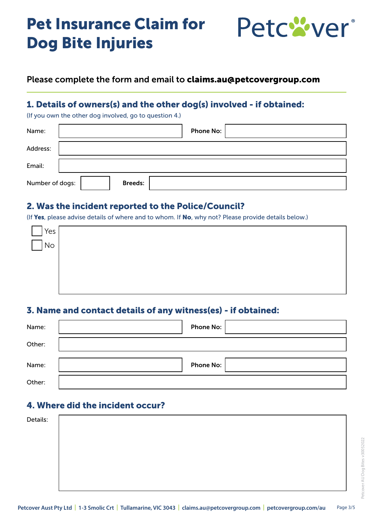# Pet Insurance Claim for Dog Bite Injuries



## Please complete the form and email to claims.au@petcovergroup.com

# 1. Details of owners(s) and the other dog(s) involved - if obtained:

(If you own the other dog involved, go to question 4.)

| Name:           | Phone No:      |
|-----------------|----------------|
| Address:        |                |
| Email:          |                |
| Number of dogs: | <b>Breeds:</b> |

### 2. Was the incident reported to the Police/Council?

(If Yes, please advise details of where and to whom. If No, why not? Please provide details below.)

| $\lceil$ Yes $\lceil$   |  |  |
|-------------------------|--|--|
| $\frac{1}{\sqrt{2}}$ No |  |  |
|                         |  |  |
|                         |  |  |
|                         |  |  |
|                         |  |  |

## 3. Name and contact details of any witness(es) - if obtained:

| Name:  | <b>Phone No:</b> |
|--------|------------------|
| Other: |                  |
| Name:  | <b>Phone No:</b> |
| Other: |                  |

## 4. Where did the incident occur?

| Details: |  |  |
|----------|--|--|
|          |  |  |
|          |  |  |
|          |  |  |
|          |  |  |
|          |  |  |